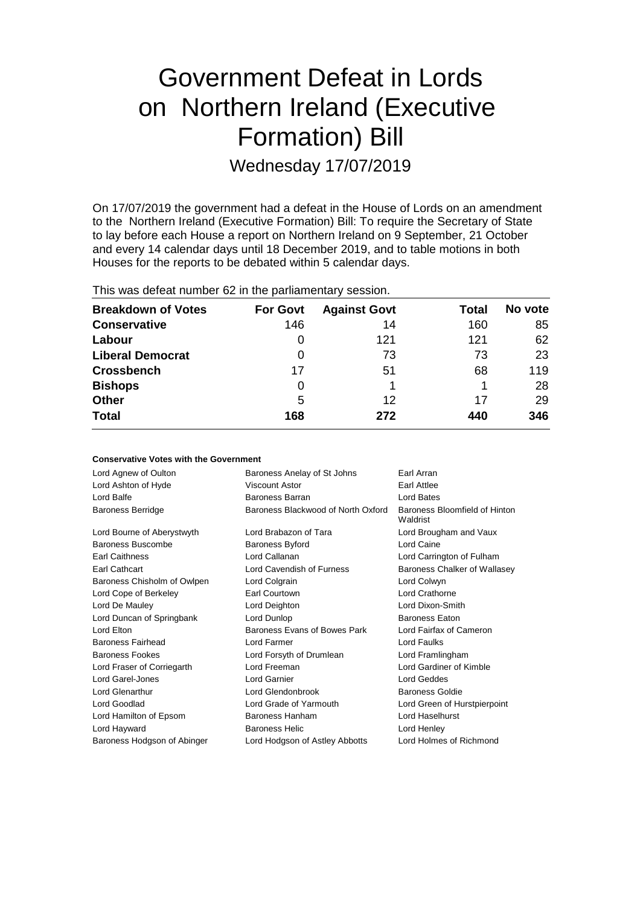# Government Defeat in Lords on Northern Ireland (Executive Formation) Bill

Wednesday 17/07/2019

On 17/07/2019 the government had a defeat in the House of Lords on an amendment to the Northern Ireland (Executive Formation) Bill: To require the Secretary of State to lay before each House a report on Northern Ireland on 9 September, 21 October and every 14 calendar days until 18 December 2019, and to table motions in both Houses for the reports to be debated within 5 calendar days.

| This was actual humber of in the parliamentary session. |                 |                     |       |         |  |
|---------------------------------------------------------|-----------------|---------------------|-------|---------|--|
| <b>Breakdown of Votes</b>                               | <b>For Govt</b> | <b>Against Govt</b> | Total | No vote |  |
| <b>Conservative</b>                                     | 146             | 14                  | 160   | 85      |  |
| Labour                                                  | 0               | 121                 | 121   | 62      |  |
| <b>Liberal Democrat</b>                                 | 0               | 73                  | 73    | 23      |  |
| Crossbench                                              | 17              | 51                  | 68    | 119     |  |
| <b>Bishops</b>                                          | 0               |                     | 1     | 28      |  |
| Other                                                   | 5               | 12                  | 17    | 29      |  |
| Total                                                   | 168             | 272                 | 440   | 346     |  |
|                                                         |                 |                     |       |         |  |

This was defeat number 62 in the parliamentary session.

| <b>Conservative Votes with the Government</b> |                                           |                                           |  |  |
|-----------------------------------------------|-------------------------------------------|-------------------------------------------|--|--|
| Lord Agnew of Oulton                          | Earl Arran<br>Baroness Anelay of St Johns |                                           |  |  |
| Lord Ashton of Hyde                           | Viscount Astor<br>Earl Attlee             |                                           |  |  |
| Lord Balfe                                    | Baroness Barran                           | Lord Bates                                |  |  |
| <b>Baroness Berridge</b>                      | Baroness Blackwood of North Oxford        | Baroness Bloomfield of Hinton<br>Waldrist |  |  |
| Lord Bourne of Aberystwyth                    | Lord Brabazon of Tara                     | Lord Brougham and Vaux                    |  |  |
| Baroness Buscombe                             | <b>Baroness Byford</b>                    | Lord Caine                                |  |  |
| <b>Earl Caithness</b>                         | Lord Callanan                             | Lord Carrington of Fulham                 |  |  |
| Earl Cathcart                                 | Lord Cavendish of Furness                 | Baroness Chalker of Wallasey              |  |  |
| Baroness Chisholm of Owlpen                   | Lord Colgrain                             | Lord Colwyn                               |  |  |
| Lord Cope of Berkeley                         | Earl Courtown                             | Lord Crathorne                            |  |  |
| Lord De Mauley                                | Lord Deighton                             | Lord Dixon-Smith                          |  |  |
| Lord Duncan of Springbank                     | Lord Dunlop                               | <b>Baroness Eaton</b>                     |  |  |
| Lord Elton                                    | Baroness Evans of Bowes Park              | Lord Fairfax of Cameron                   |  |  |
| Baroness Fairhead                             | Lord Farmer                               | Lord Faulks                               |  |  |
| <b>Baroness Fookes</b>                        | Lord Forsyth of Drumlean                  | Lord Framlingham                          |  |  |
| Lord Fraser of Corriegarth                    | Lord Freeman                              | Lord Gardiner of Kimble                   |  |  |
| Lord Garel-Jones                              | Lord Garnier                              | Lord Geddes                               |  |  |
| Lord Glenarthur                               | Lord Glendonbrook                         | Baroness Goldie                           |  |  |
| Lord Goodlad                                  | Lord Grade of Yarmouth                    | Lord Green of Hurstpierpoint              |  |  |
| Lord Hamilton of Epsom                        | Baroness Hanham                           | Lord Haselhurst                           |  |  |
| Lord Hayward                                  | <b>Baroness Helic</b>                     | Lord Henley                               |  |  |
| Baroness Hodgson of Abinger                   | Lord Hodgson of Astley Abbotts            | Lord Holmes of Richmond                   |  |  |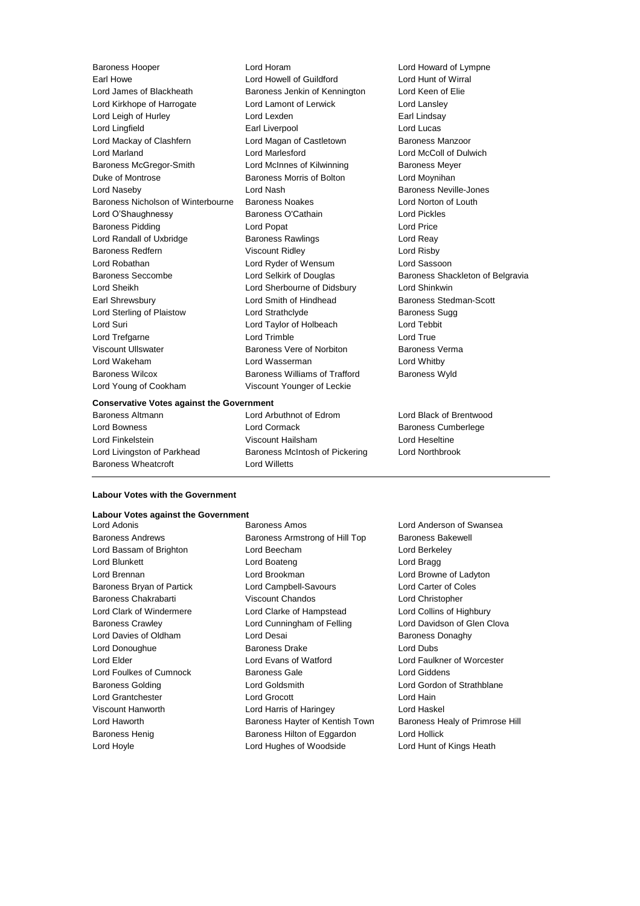Baroness Hooper **Lord Horam Lord Horam** Lord Howard of Lympne<br>
Lord Howel Cord Howell of Guildford **Lord Howard Lord Hunt of Wirral** Earl Howe **Lord Howell of Guildford** Lord James of Blackheath Baroness Jenkin of Kennington Lord Keen of Elie Lord Kirkhope of Harrogate **Lord Lamont of Lerwick** Lord Lansley Lord Leigh of Hurley **Lord Lexden** Lord Lexden **Earl Lindsay** Lord Lingfield Earl Liverpool Lord Lucas Lord Mackay of Clashfern **Lord Magan of Castletown** Baroness Manzoor Lord Marland Lord Marlesford Lord McColl of Dulwich Baroness McGregor-Smith Lord McInnes of Kilwinning Baroness Meyer Duke of Montrose Baroness Morris of Bolton Lord Moynihan Lord Naseby Lord Nash Baroness Neville-Jones Baroness Nicholson of Winterbourne Baroness Noakes Lord Norton of Louth Lord O'Shaughnessy Baroness O'Cathain Lord Pickles Baroness Pidding **Lord Popat Contract Contract Contract Contract Contract Contract Contract Contract Contract Contract Contract Contract Contract Contract Contract Contract Contract Contract Contract Contract Contract Cont** Lord Randall of Uxbridge **Baroness Rawlings** Lord Reay Baroness Redfern **Viscount Ridley Lord Risby** Lord Robathan Lord Ryder of Wensum Lord Sassoon Baroness Seccombe **Lord Selkirk of Douglas** Baroness Shackleton of Belgravia Lord Sheikh Lord Sherbourne of Didsbury Lord Shinkwin Earl Shrewsbury **Earl Shrewsbury** Lord Smith of Hindhead Baroness Stedman-Scott Lord Sterling of Plaistow Lord Strathclyde **Baroness** Sugg Lord Suri Lord Taylor of Holbeach Lord Tebbit Lord Trefgarne **Lord Trimble** Lord Trimble **Lord True** Viscount Ullswater **Baroness Vere of Norbiton** Baroness Verma Lord Wakeham Lord Wasserman Lord Whitby Baroness Wilcox Baroness Williams of Trafford Baroness Wyld Lord Young of Cookham Viscount Younger of Leckie

# Baroness Altmann Lord Arbuthnot of Edrom Lord Black of Brentwood

### **Conservative Votes against the Government**

Lord Bowness **Lord Cormack** Baroness Cumberlege Lord Finkelstein Viscount Hailsham Lord Heseltine Lord Livingston of Parkhead Baroness McIntosh of Pickering Lord Northbrook Baroness Wheatcroft **Lord Willetts** 

**Labour Votes against the Government** Baroness Andrews **Baroness Armstrong of Hill Top** Baroness Bakewell Lord Bassam of Brighton Lord Beecham Lord Berkeley Lord Blunkett **Lord Boateng** Lord Boateng Lord Bragg Lord Brennan Lord Brookman Lord Browne of Ladyton Baroness Bryan of Partick Lord Campbell-Savours Lord Carter of Coles Baroness Chakrabarti Viscount Chandos Lord Christopher Lord Clark of Windermere Lord Clarke of Hampstead Lord Collins of Highbury Baroness Crawley **Lord Cunningham of Felling** Lord Davidson of Glen Clova Lord Davies of Oldham Lord Desai Baroness Donaghy

Lord Anderson of Swansea Lord Haworth **Baroness Hayter of Kentish Town** Baroness Healy of Primrose Hill

## **Labour Votes with the Government**

Baroness Henig Baroness Hilton of Eggardon Lord Hollick Lord Hoyle Lord Hughes of Woodside Lord Hunt of Kings Heath

Lord Donoughue **Baroness Drake** Lord Dubs Lord Elder Lord Evans of Watford Lord Faulkner of Worcester Lord Foulkes of Cumnock Baroness Gale Cumnoch Baroness Gale Cumnock Baroness Gale Lord Giddens Baroness Golding Lord Goldsmith Lord Gordon of Strathblane Lord Grantchester Lord Grocott Lord Hain Viscount Hanworth Lord Harris of Haringey Lord Haskel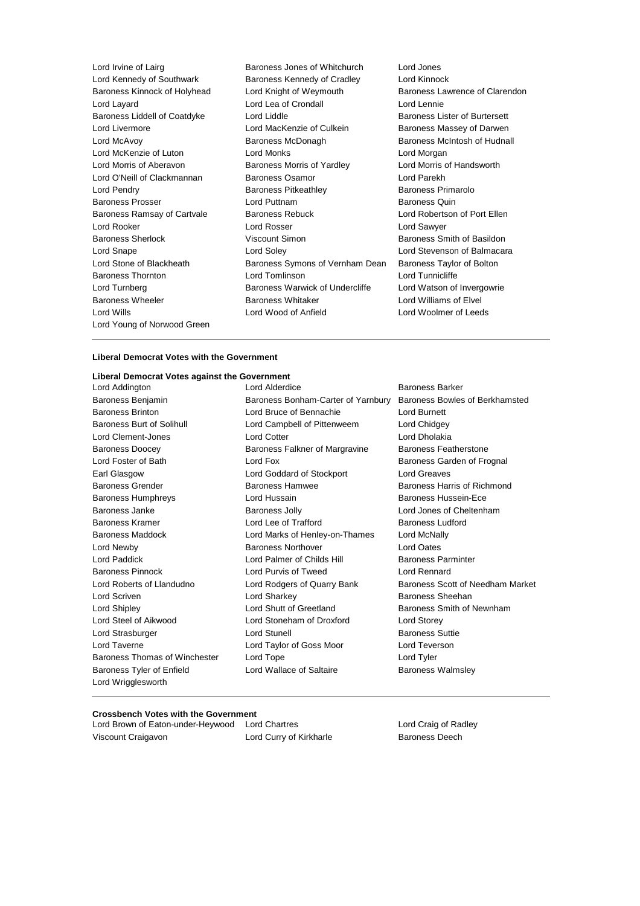Lord Irvine of Lairg **Baroness Jones of Whitchurch** Lord Jones Lord Kennedy of Southwark Baroness Kennedy of Cradley Lord Kinnock Baroness Kinnock of Holyhead Lord Knight of Weymouth Baroness Lawrence of Clarendon Lord Layard **Lord Lea of Crondall** Lord Lennie Baroness Liddell of Coatdyke Lord Liddle **Baroness Lister of Burtersett** Lord Livermore **Lord MacKenzie of Culkein** Baroness Massey of Darwen<br>Lord McAvov **Communist Baroness McDonagh** Baroness McIntosh of Hudna Lord McAvoy **Baroness McDonagh** Baroness McDonagh Baroness McIntosh of Hudnall Lord McKenzie of Luton **Lord Monks Lord Monks Lord Morgan** Lord Morris of Aberavon Baroness Morris of Yardley Lord Morris of Handsworth Lord O'Neill of Clackmannan Baroness Osamor Lord Parekh Lord Pendry **Baroness Pitkeathley** Baroness Primarolo Baroness Prosser **Example 2** Lord Puttnam **Baroness Quin** Baroness Quin Baroness Ramsay of Cartvale Baroness Rebuck Lord Robertson of Port Ellen Lord Rooker Lord Rosser Lord Sawyer Baroness Sherlock **Viscount Simon** Baroness Smith of Basildon Lord Snape Lord Soley Lord Stevenson of Balmacara Lord Stone of Blackheath Baroness Symons of Vernham Dean Baroness Taylor of Bolton Baroness Thornton Lord Tomlinson Lord Tunnicliffe Lord Turnberg **Baroness Warwick of Undercliffe** Lord Watson of Invergowrie Baroness Wheeler **Baroness Whitaker Baroness Whitaker Lord Williams of Elvel** Lord Wills Lord Wood of Anfield Lord Woolmer of Leeds Lord Young of Norwood Green

## **Liberal Democrat Votes with the Government**

## **Liberal Democrat Votes against the Government**

Baroness Benjamin Baroness Bonham-Carter of Yarnbury Baroness Bowles of Berkhamsted Baroness Brinton Lord Bruce of Bennachie Lord Burnett Baroness Burt of Solihull Lord Campbell of Pittenweem Lord Chidgey Lord Clement-Jones Lord Cotter Lord Cotter Lord Dholakia Baroness Doocey **Baroness Falkner of Margravine** Baroness Featherstone Lord Foster of Bath **Lord Fox** Lord Fox **Baroness Garden of Frognal** Earl Glasgow Lord Goddard of Stockport Lord Greaves Baroness Grender **Baroness Hamwee** Baroness Hamwee **Baroness Hammed Baroness Hammed Baroness** Hammed Baroness Hammed Baroness Hammed Baroness Hammed Baroness Hammed Baroness Hammed Baroness Hammed Baroness Hammed Baroness Baroness Humphreys **Example 2** Lord Hussain **Baroness Hussein-Ece** Baroness Janke **Baroness Jolly Baroness Jolly Lord Jones of Cheltenham** Baroness Kramer **Lord Lee of Trafford** Baroness Ludford **Baroness** Ludford Baroness Maddock Lord Marks of Henley-on-Thames Lord McNally Lord Newby Baroness Northover Lord Oates Lord Paddick Lord Palmer of Childs Hill Baroness Parminter Baroness Pinnock Lord Purvis of Tweed Lord Rennard Lord Roberts of Llandudno Lord Rodgers of Quarry Bank Baroness Scott of Needham Market Lord Scriven Lord Sharkey Baroness Sheehan Lord Shipley **Lord Shutt of Greetland** Baroness Smith of Newnham Lord Steel of Aikwood Lord Stoneham of Droxford Lord Storey Lord Strasburger **Lord Strasburger** Lord Stunell **Baroness Suttie** Lord Taverne Lord Taylor of Goss Moor Lord Teverson Baroness Thomas of Winchester Lord Tope Lord Tyler Baroness Tyler of Enfield **Lord Wallace of Saltaire** Baroness Walmsley Lord Wrigglesworth

Lord Addington Lord Alderdice Baroness Barker

## **Crossbench Votes with the Government**<br>Lord Brown of Eaton-under-Heywood Lord Chartres

Lord Brown of Eaton-under-Heywood Lord Chartres **Lord Craig Communist Communist Communist** Lord Craig of Radley Viscount Craigavon Lord Curry of Kirkharle Baroness Deech